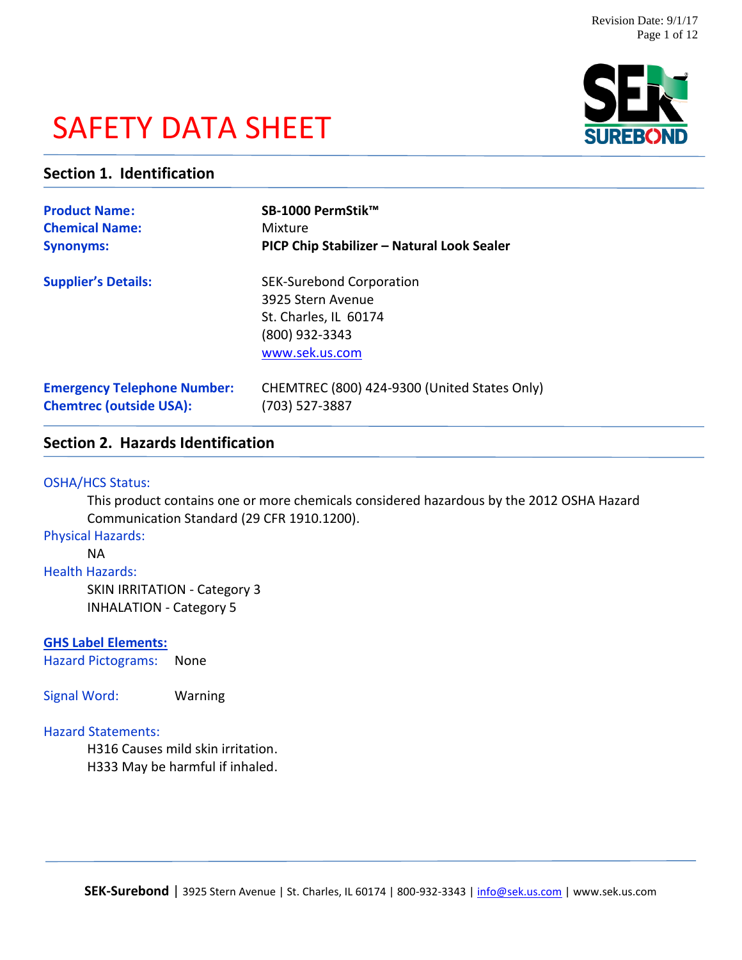# SAFETY DATA SHEET



### **Section 1. Identification**

| <b>Product Name:</b>               | SB-1000 PermStik™                                                                                                 |
|------------------------------------|-------------------------------------------------------------------------------------------------------------------|
| <b>Chemical Name:</b>              | Mixture                                                                                                           |
| <b>Synonyms:</b>                   | PICP Chip Stabilizer - Natural Look Sealer                                                                        |
| <b>Supplier's Details:</b>         | <b>SEK-Surebond Corporation</b><br>3925 Stern Avenue<br>St. Charles, IL 60174<br>(800) 932-3343<br>www.sek.us.com |
| <b>Emergency Telephone Number:</b> | CHEMTREC (800) 424-9300 (United States Only)                                                                      |
| <b>Chemtrec (outside USA):</b>     | (703) 527-3887                                                                                                    |

## **Section 2. Hazards Identification**

### OSHA/HCS Status:

This product contains one or more chemicals considered hazardous by the 2012 OSHA Hazard Communication Standard (29 CFR 1910.1200).

Physical Hazards:

### NA

Health Hazards:

SKIN IRRITATION - Category 3 INHALATION - Category 5

### **GHS Label Elements:**

Hazard Pictograms: None

Signal Word: Warning

### Hazard Statements:

H316 Causes mild skin irritation. H333 May be harmful if inhaled.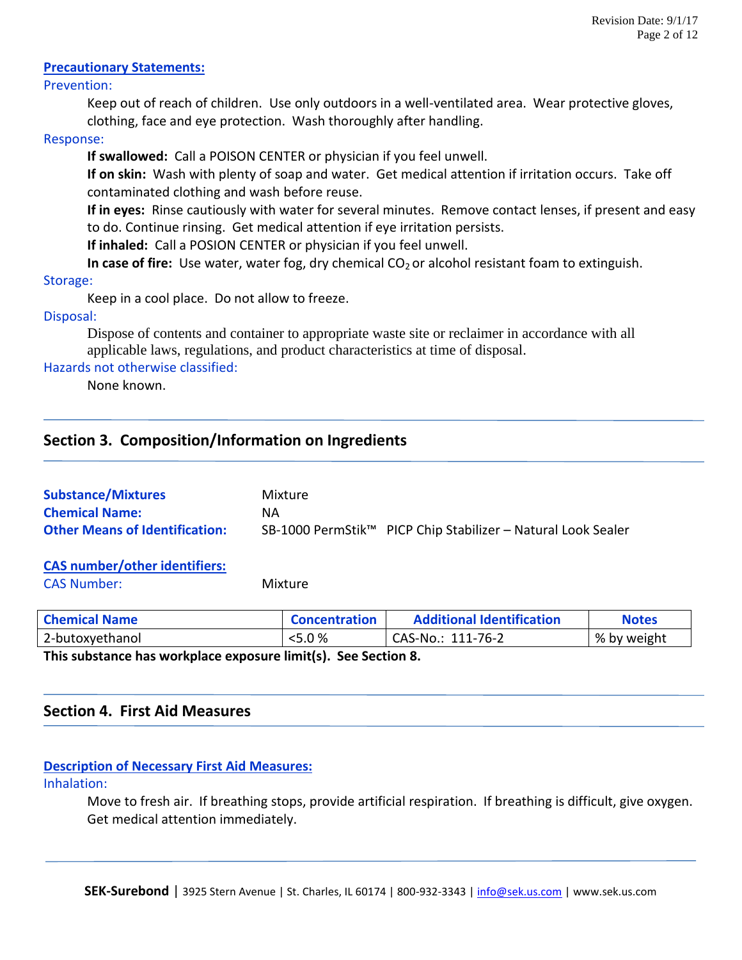### **Precautionary Statements:**

### Prevention:

Keep out of reach of children. Use only outdoors in a well-ventilated area. Wear protective gloves, clothing, face and eye protection. Wash thoroughly after handling.

### Response:

**If swallowed:** Call a POISON CENTER or physician if you feel unwell.

**If on skin:** Wash with plenty of soap and water. Get medical attention if irritation occurs. Take off contaminated clothing and wash before reuse.

**If in eyes:** Rinse cautiously with water for several minutes. Remove contact lenses, if present and easy to do. Continue rinsing. Get medical attention if eye irritation persists.

**If inhaled:** Call a POSION CENTER or physician if you feel unwell.

**In case of fire:** Use water, water fog, dry chemical CO<sub>2</sub> or alcohol resistant foam to extinguish.

### Storage:

Keep in a cool place. Do not allow to freeze.

### Disposal:

Dispose of contents and container to appropriate waste site or reclaimer in accordance with all applicable laws, regulations, and product characteristics at time of disposal.

### Hazards not otherwise classified:

None known.

### **Section 3. Composition/Information on Ingredients**

| <b>Substance/Mixtures</b>             | Mixture |                                                              |
|---------------------------------------|---------|--------------------------------------------------------------|
| <b>Chemical Name:</b>                 | ΝA      |                                                              |
| <b>Other Means of Identification:</b> |         | SB-1000 PermStik™ PICP Chip Stabilizer – Natural Look Sealer |

### **CAS number/other identifiers:**

CAS Number: Mixture

| <b>Chemical Name</b>                                         | <b>Concentration</b> | <b>Additional Identification</b> | <b>Notes</b> |
|--------------------------------------------------------------|----------------------|----------------------------------|--------------|
| 2-butoxyethanol                                              | $5.0\%$              | CAS-No.: 111-76-2                | % by weight  |
| This substance has would bee awassue limit(s). Can Costian 0 |                      |                                  |              |

**This substance has workplace exposure limit(s). See Section 8.**

### **Section 4. First Aid Measures**

### **Description of Necessary First Aid Measures:**

### Inhalation:

Move to fresh air. If breathing stops, provide artificial respiration. If breathing is difficult, give oxygen. Get medical attention immediately.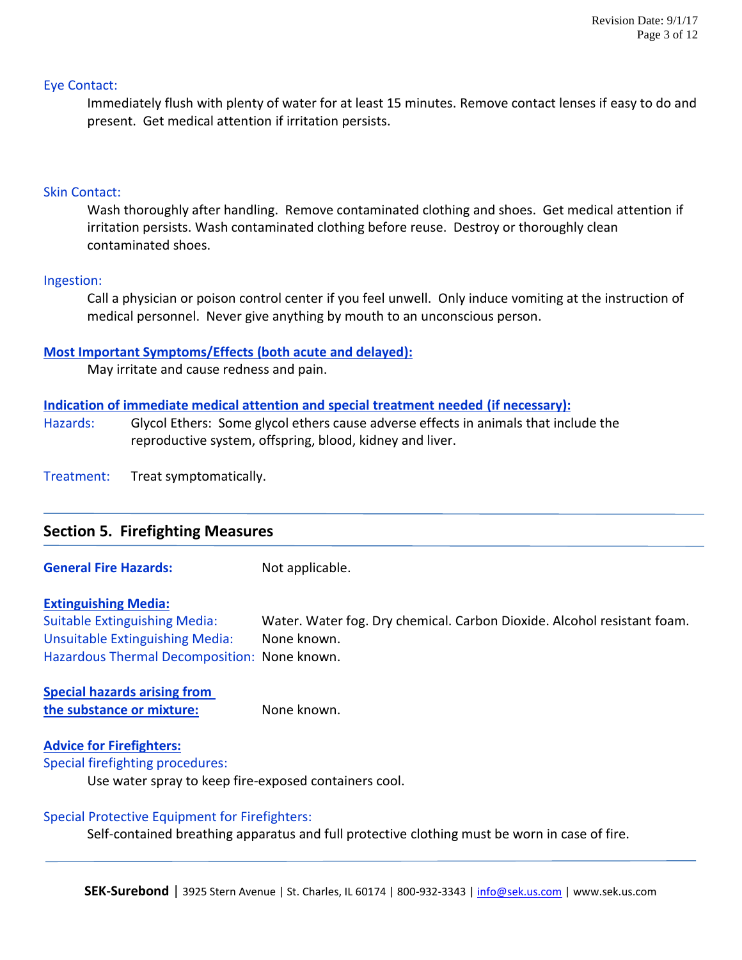### Eye Contact:

Immediately flush with plenty of water for at least 15 minutes. Remove contact lenses if easy to do and present. Get medical attention if irritation persists.

### Skin Contact:

Wash thoroughly after handling. Remove contaminated clothing and shoes. Get medical attention if irritation persists. Wash contaminated clothing before reuse. Destroy or thoroughly clean contaminated shoes.

### Ingestion:

Call a physician or poison control center if you feel unwell. Only induce vomiting at the instruction of medical personnel. Never give anything by mouth to an unconscious person.

### **Most Important Symptoms/Effects (both acute and delayed):**

May irritate and cause redness and pain.

### **Indication of immediate medical attention and special treatment needed (if necessary):**

Hazards: Glycol Ethers: Some glycol ethers cause adverse effects in animals that include the reproductive system, offspring, blood, kidney and liver.

Treatment: Treat symptomatically.

| <b>Section 5. Firefighting Measures</b> |                      |  |  |
|-----------------------------------------|----------------------|--|--|
| Conservati Eliza Hamandar               | الملحد فالمتمت للملذ |  |  |

**General Fire Hazards:** Not applicable.

#### **Extinguishing Media:**

Suitable Extinguishing Media: Water. Water fog. Dry chemical. Carbon Dioxide. Alcohol resistant foam. Unsuitable Extinguishing Media: None known. Hazardous Thermal Decomposition: None known.

**Special hazards arising from the substance or mixture:** None known.

#### **Advice for Firefighters:**

Special firefighting procedures:

Use water spray to keep fire-exposed containers cool.

#### Special Protective Equipment for Firefighters:

Self-contained breathing apparatus and full protective clothing must be worn in case of fire.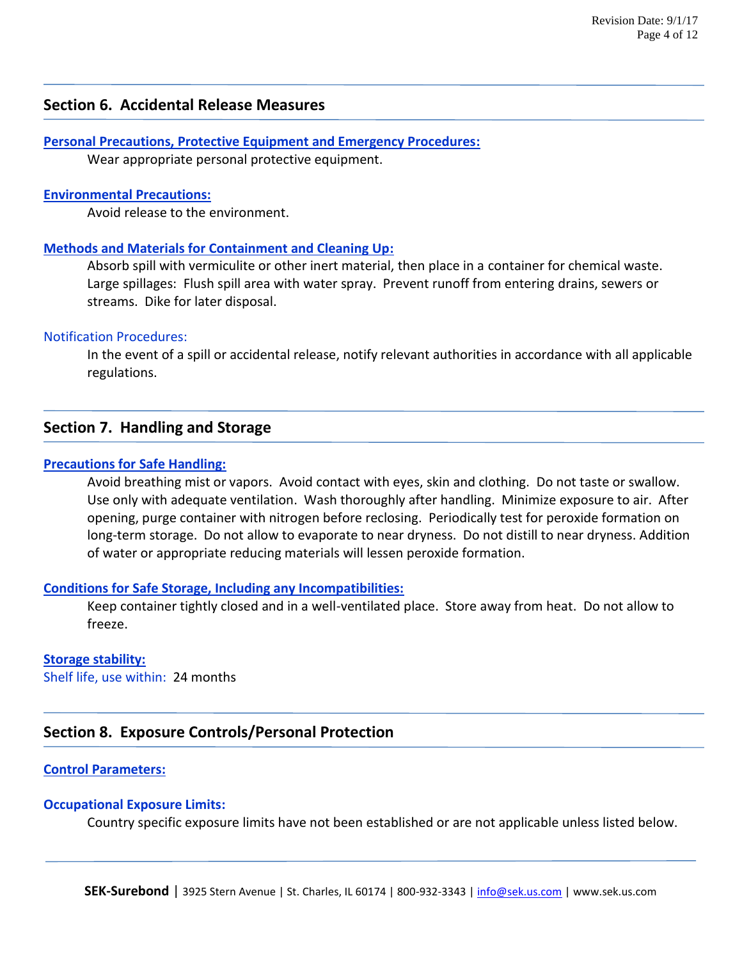### **Section 6. Accidental Release Measures**

**Personal Precautions, Protective Equipment and Emergency Procedures:** Wear appropriate personal protective equipment.

#### **Environmental Precautions:**

Avoid release to the environment.

#### **Methods and Materials for Containment and Cleaning Up:**

Absorb spill with vermiculite or other inert material, then place in a container for chemical waste. Large spillages: Flush spill area with water spray. Prevent runoff from entering drains, sewers or streams. Dike for later disposal.

#### Notification Procedures:

In the event of a spill or accidental release, notify relevant authorities in accordance with all applicable regulations.

### **Section 7. Handling and Storage**

### **Precautions for Safe Handling:**

Avoid breathing mist or vapors. Avoid contact with eyes, skin and clothing. Do not taste or swallow. Use only with adequate ventilation. Wash thoroughly after handling. Minimize exposure to air. After opening, purge container with nitrogen before reclosing. Periodically test for peroxide formation on long-term storage. Do not allow to evaporate to near dryness. Do not distill to near dryness. Addition of water or appropriate reducing materials will lessen peroxide formation.

#### **Conditions for Safe Storage, Including any Incompatibilities:**

Keep container tightly closed and in a well-ventilated place. Store away from heat. Do not allow to freeze.

#### **Storage stability:**

Shelf life, use within: 24 months

### **Section 8. Exposure Controls/Personal Protection**

### **Control Parameters:**

#### **Occupational Exposure Limits:**

Country specific exposure limits have not been established or are not applicable unless listed below.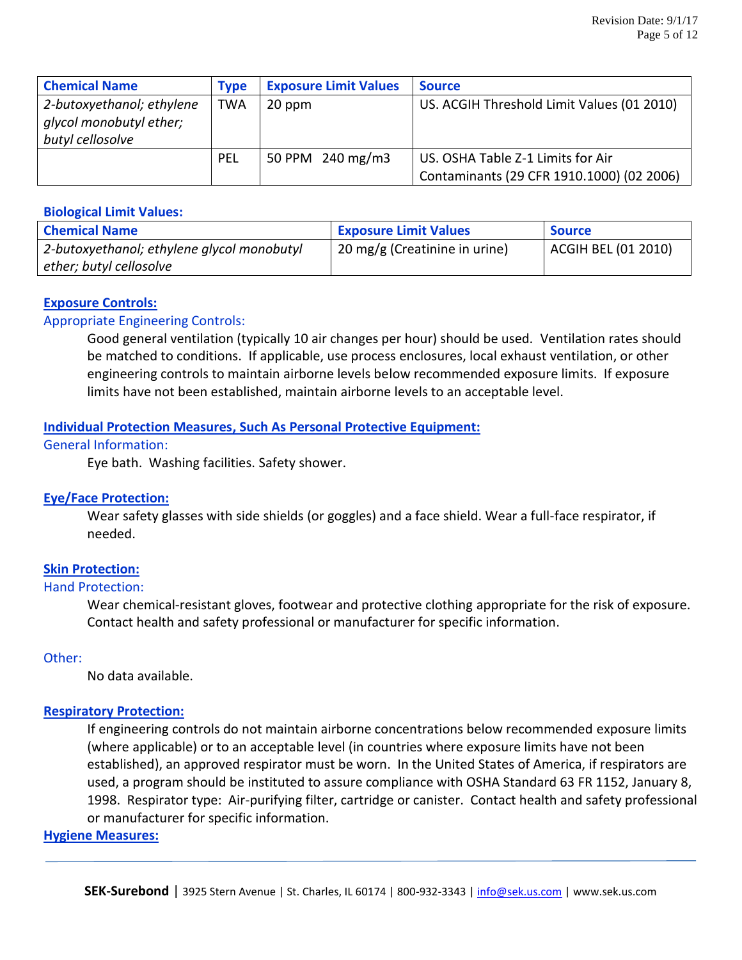| <b>Chemical Name</b>                                                     | <b>Type</b> | <b>Exposure Limit Values</b> | <b>Source</b>                                                                  |
|--------------------------------------------------------------------------|-------------|------------------------------|--------------------------------------------------------------------------------|
| 2-butoxyethanol; ethylene<br>glycol monobutyl ether;<br>butyl cellosolve | <b>TWA</b>  | 20 ppm                       | US. ACGIH Threshold Limit Values (01 2010)                                     |
|                                                                          | <b>PEL</b>  | 50 PPM 240 mg/m3             | US. OSHA Table Z-1 Limits for Air<br>Contaminants (29 CFR 1910.1000) (02 2006) |

### **Biological Limit Values:**

| <b>Chemical Name</b>                       | <b>Exposure Limit Values</b>  | <b>Source</b>       |
|--------------------------------------------|-------------------------------|---------------------|
| 2-butoxyethanol; ethylene glycol monobutyl | 20 mg/g (Creatinine in urine) | ACGIH BEL (01 2010) |
| ether; butyl cellosolve                    |                               |                     |

### **Exposure Controls:**

### Appropriate Engineering Controls:

Good general ventilation (typically 10 air changes per hour) should be used. Ventilation rates should be matched to conditions. If applicable, use process enclosures, local exhaust ventilation, or other engineering controls to maintain airborne levels below recommended exposure limits. If exposure limits have not been established, maintain airborne levels to an acceptable level.

### **Individual Protection Measures, Such As Personal Protective Equipment:**

### General Information:

Eye bath. Washing facilities. Safety shower.

### **Eye/Face Protection:**

Wear safety glasses with side shields (or goggles) and a face shield. Wear a full-face respirator, if needed.

### **Skin Protection:**

### Hand Protection:

Wear chemical-resistant gloves, footwear and protective clothing appropriate for the risk of exposure. Contact health and safety professional or manufacturer for specific information.

### Other:

No data available.

### **Respiratory Protection:**

If engineering controls do not maintain airborne concentrations below recommended exposure limits (where applicable) or to an acceptable level (in countries where exposure limits have not been established), an approved respirator must be worn. In the United States of America, if respirators are used, a program should be instituted to assure compliance with OSHA Standard 63 FR 1152, January 8, 1998. Respirator type: Air-purifying filter, cartridge or canister. Contact health and safety professional or manufacturer for specific information.

### **Hygiene Measures:**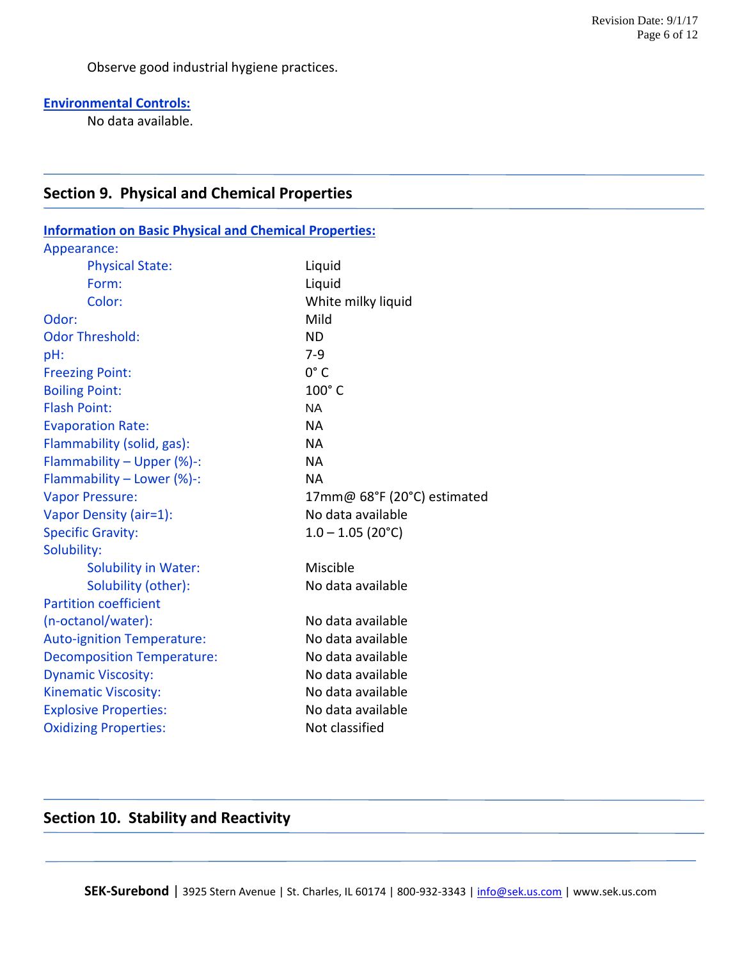Observe good industrial hygiene practices.

### **Environmental Controls:**

No data available.

### **Section 9. Physical and Chemical Properties**

| <b>Information on Basic Physical and Chemical Properties:</b> |                             |
|---------------------------------------------------------------|-----------------------------|
| Appearance:                                                   |                             |
| <b>Physical State:</b>                                        | Liquid                      |
| Form:                                                         | Liquid                      |
| Color:                                                        | White milky liquid          |
| Odor:                                                         | Mild                        |
| <b>Odor Threshold:</b>                                        | <b>ND</b>                   |
| pH:                                                           | $7-9$                       |
| <b>Freezing Point:</b>                                        | $0^\circ C$                 |
| <b>Boiling Point:</b>                                         | $100^\circ$ C               |
| <b>Flash Point:</b>                                           | <b>NA</b>                   |
| <b>Evaporation Rate:</b>                                      | <b>NA</b>                   |
| Flammability (solid, gas):                                    | <b>NA</b>                   |
| Flammability - Upper (%)-:                                    | <b>NA</b>                   |
| Flammability - Lower (%)-:                                    | <b>NA</b>                   |
| <b>Vapor Pressure:</b>                                        | 17mm@ 68°F (20°C) estimated |
| Vapor Density (air=1):                                        | No data available           |
| <b>Specific Gravity:</b>                                      | $1.0 - 1.05$ (20°C)         |
| Solubility:                                                   |                             |
| <b>Solubility in Water:</b>                                   | Miscible                    |
| Solubility (other):                                           | No data available           |
| <b>Partition coefficient</b>                                  |                             |
| (n-octanol/water):                                            | No data available           |
| <b>Auto-ignition Temperature:</b>                             | No data available           |
| <b>Decomposition Temperature:</b>                             | No data available           |
| <b>Dynamic Viscosity:</b>                                     | No data available           |
| <b>Kinematic Viscosity:</b>                                   | No data available           |
| <b>Explosive Properties:</b>                                  | No data available           |
| <b>Oxidizing Properties:</b>                                  | Not classified              |

### **Section 10. Stability and Reactivity**

SEK-Surebond | 3925 Stern Avenue | St. Charles, IL 60174 | 800-932-3343 | [info@sek.us.com](mailto:info@sek.us.com) | www.sek.us.com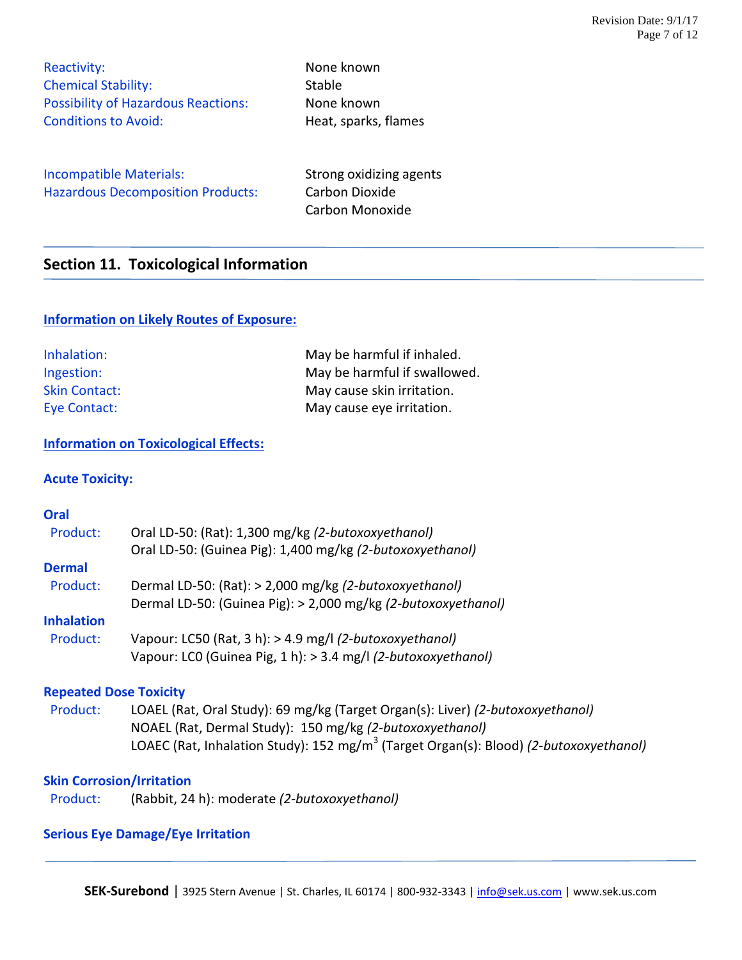Reactivity: None known Chemical Stability: Stable Possibility of Hazardous Reactions: None known Conditions to Avoid: The Meat, sparks, flames

Incompatible Materials: Strong oxidizing agents Hazardous Decomposition Products: Carbon Dioxide

Carbon Monoxide

### **Section 11. Toxicological Information**

### **Information on Likely Routes of Exposure:**

| Inhalation:          | May be harmful if inhaled.   |
|----------------------|------------------------------|
| Ingestion:           | May be harmful if swallowed. |
| <b>Skin Contact:</b> | May cause skin irritation.   |
| Eye Contact:         | May cause eye irritation.    |

### **Information on Toxicological Effects:**

### **Acute Toxicity:**

### **Oral** Product: Oral LD-50: (Rat): 1,300 mg/kg *(2-butoxoxyethanol)* Oral LD-50: (Guinea Pig): 1,400 mg/kg *(2-butoxoxyethanol)* **Dermal** Product: Dermal LD-50: (Rat): > 2,000 mg/kg *(2-butoxoxyethanol)* Dermal LD-50: (Guinea Pig): > 2,000 mg/kg *(2-butoxoxyethanol)* **Inhalation** Product: Vapour: LC50 (Rat, 3 h): > 4.9 mg/l *(2-butoxoxyethanol)* Vapour: LC0 (Guinea Pig, 1 h): > 3.4 mg/l *(2-butoxoxyethanol)*

### **Repeated Dose Toxicity**

 Product: LOAEL (Rat, Oral Study): 69 mg/kg (Target Organ(s): Liver) *(2-butoxoxyethanol)* NOAEL (Rat, Dermal Study): 150 mg/kg *(2-butoxoxyethanol)* LOAEC (Rat, Inhalation Study): 152 mg/m<sup>3</sup> (Target Organ(s): Blood) *(2-butoxoxyethanol)* 

### **Skin Corrosion/Irritation**

Product: (Rabbit, 24 h): moderate *(2-butoxoxyethanol)*

### **Serious Eye Damage/Eye Irritation**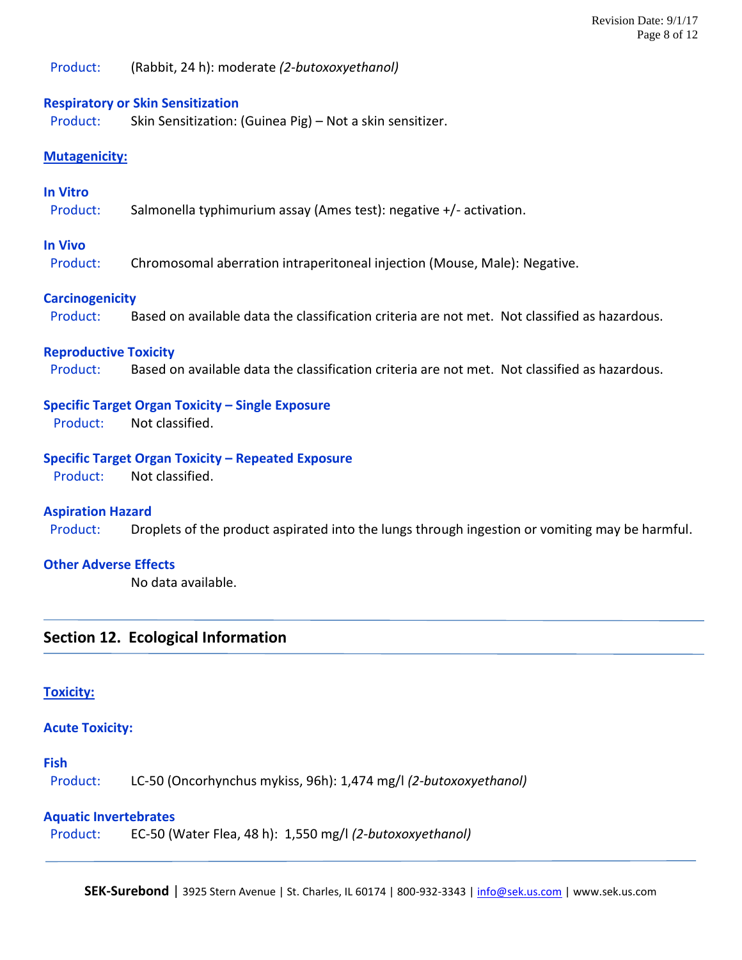Product: (Rabbit, 24 h): moderate *(2-butoxoxyethanol)*

### **Respiratory or Skin Sensitization**

Product: Skin Sensitization: (Guinea Pig) – Not a skin sensitizer.

### **Mutagenicity:**

### **In Vitro**

Product: Salmonella typhimurium assay (Ames test): negative +/- activation.

### **In Vivo**

Product: Chromosomal aberration intraperitoneal injection (Mouse, Male): Negative.

### **Carcinogenicity**

Product: Based on available data the classification criteria are not met. Not classified as hazardous.

### **Reproductive Toxicity**

Product: Based on available data the classification criteria are not met. Not classified as hazardous.

### **Specific Target Organ Toxicity – Single Exposure**

Product: Not classified.

### **Specific Target Organ Toxicity – Repeated Exposure**

Product: Not classified.

#### **Aspiration Hazard**

Product: Droplets of the product aspirated into the lungs through ingestion or vomiting may be harmful.

#### **Other Adverse Effects**

No data available.

### **Section 12. Ecological Information**

### **Toxicity:**

#### **Acute Toxicity:**

### **Fish**

Product: LC-50 (Oncorhynchus mykiss, 96h): 1,474 mg/l *(2-butoxoxyethanol)*

### **Aquatic Invertebrates**

Product: EC-50 (Water Flea, 48 h): 1,550 mg/l *(2-butoxoxyethanol)*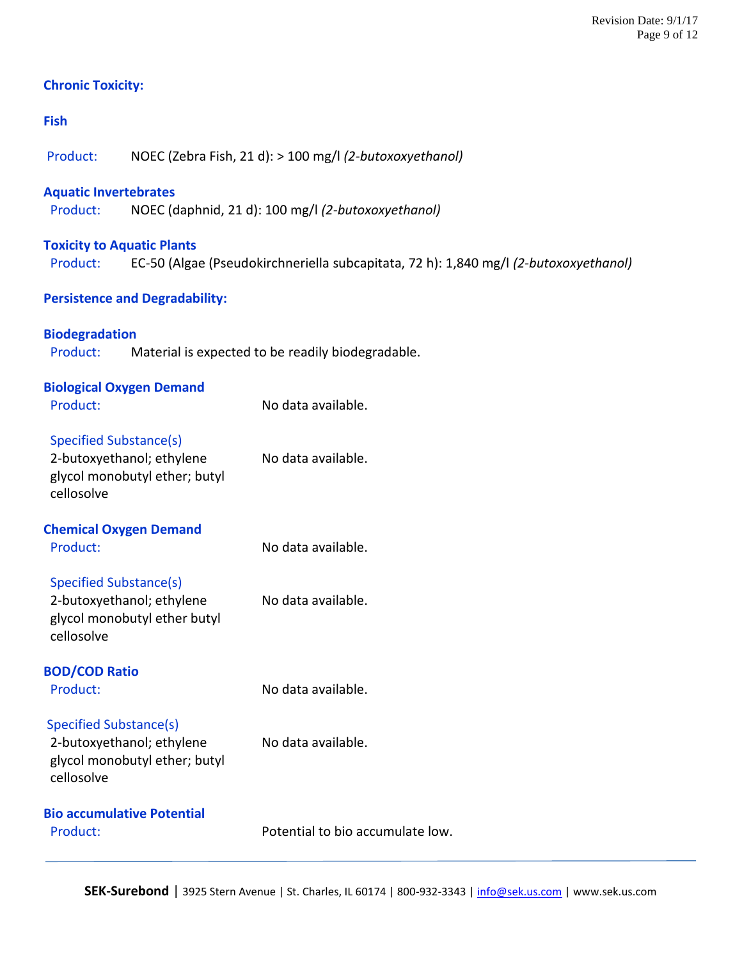### **Chronic Toxicity:**

### **Fish**

Product: NOEC (Zebra Fish, 21 d): > 100 mg/l *(2-butoxoxyethanol)*

### **Aquatic Invertebrates**

Product: NOEC (daphnid, 21 d): 100 mg/l *(2-butoxoxyethanol)*

### **Toxicity to Aquatic Plants**

Product: EC-50 (Algae (Pseudokirchneriella subcapitata, 72 h): 1,840 mg/l *(2-butoxoxyethanol)*

### **Persistence and Degradability:**

**Biodegradation** Product: Material is expected to be readily biodegradable.

| <b>Biological Oxygen Demand</b><br>Product:                                                               | No data available.               |
|-----------------------------------------------------------------------------------------------------------|----------------------------------|
| Specified Substance(s)<br>2-butoxyethanol; ethylene<br>glycol monobutyl ether; butyl<br>cellosolve        | No data available.               |
| <b>Chemical Oxygen Demand</b><br>Product:                                                                 | No data available.               |
| Specified Substance(s)<br>2-butoxyethanol; ethylene<br>glycol monobutyl ether butyl<br>cellosolve         | No data available.               |
| <b>BOD/COD Ratio</b><br>Product:                                                                          | No data available.               |
| <b>Specified Substance(s)</b><br>2-butoxyethanol; ethylene<br>glycol monobutyl ether; butyl<br>cellosolve | No data available.               |
| <b>Bio accumulative Potential</b><br>Product:                                                             | Potential to bio accumulate low. |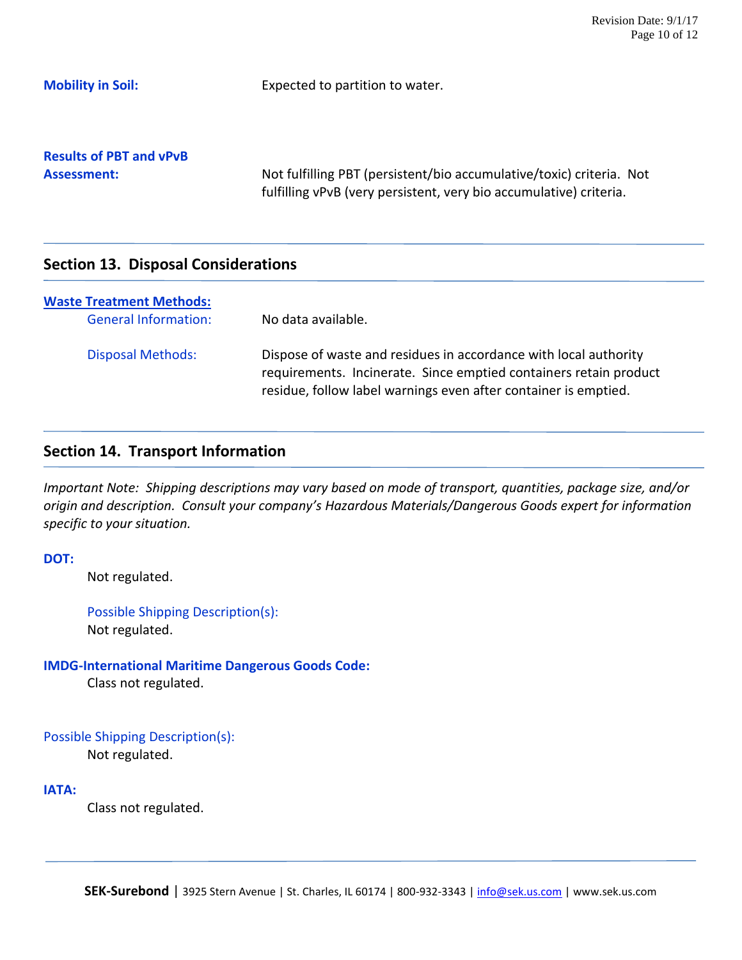**Mobility in Soil:** Expected to partition to water.

**Results of PBT and vPvB**

Assessment: Not fulfilling PBT (persistent/bio accumulative/toxic) criteria. Not fulfilling vPvB (very persistent, very bio accumulative) criteria.

### **Section 13. Disposal Considerations**

| <b>Waste Treatment Methods:</b><br><b>General Information:</b> | No data available.                                                                                                                                                                                       |
|----------------------------------------------------------------|----------------------------------------------------------------------------------------------------------------------------------------------------------------------------------------------------------|
| <b>Disposal Methods:</b>                                       | Dispose of waste and residues in accordance with local authority<br>requirements. Incinerate. Since emptied containers retain product<br>residue, follow label warnings even after container is emptied. |

### **Section 14. Transport Information**

*Important Note: Shipping descriptions may vary based on mode of transport, quantities, package size, and/or origin and description. Consult your company's Hazardous Materials/Dangerous Goods expert for information specific to your situation.*

### **DOT:**

Not regulated.

Possible Shipping Description(s): Not regulated.

### **IMDG-International Maritime Dangerous Goods Code:**

Class not regulated.

### Possible Shipping Description(s):

Not regulated.

### **IATA:**

Class not regulated.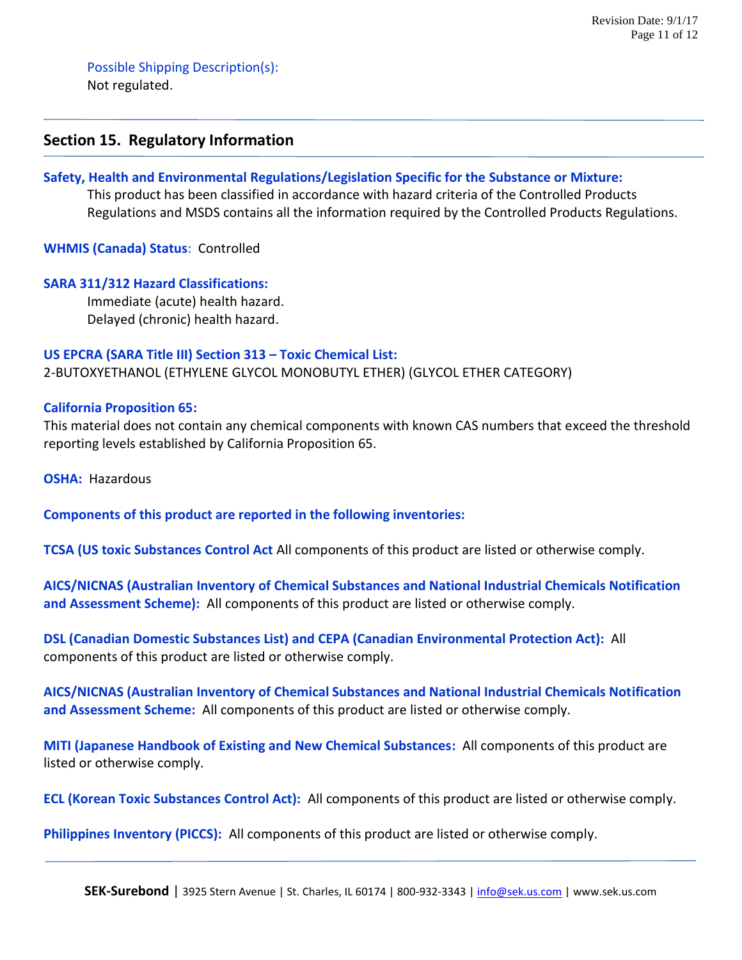Possible Shipping Description(s): Not regulated.

### **Section 15. Regulatory Information**

### **Safety, Health and Environmental Regulations/Legislation Specific for the Substance or Mixture:**

This product has been classified in accordance with hazard criteria of the Controlled Products Regulations and MSDS contains all the information required by the Controlled Products Regulations.

**WHMIS (Canada) Status**: Controlled

### **SARA 311/312 Hazard Classifications:**

 Immediate (acute) health hazard. Delayed (chronic) health hazard.

#### **US EPCRA (SARA Title III) Section 313 – Toxic Chemical List:**

2-BUTOXYETHANOL (ETHYLENE GLYCOL MONOBUTYL ETHER) (GLYCOL ETHER CATEGORY)

### **California Proposition 65:**

This material does not contain any chemical components with known CAS numbers that exceed the threshold reporting levels established by California Proposition 65.

**OSHA:** Hazardous

**Components of this product are reported in the following inventories:**

**TCSA (US toxic Substances Control Act** All components of this product are listed or otherwise comply.

**AICS/NICNAS (Australian Inventory of Chemical Substances and National Industrial Chemicals Notification and Assessment Scheme):** All components of this product are listed or otherwise comply.

**DSL (Canadian Domestic Substances List) and CEPA (Canadian Environmental Protection Act):** All components of this product are listed or otherwise comply.

**AICS/NICNAS (Australian Inventory of Chemical Substances and National Industrial Chemicals Notification and Assessment Scheme:** All components of this product are listed or otherwise comply.

**MITI (Japanese Handbook of Existing and New Chemical Substances:** All components of this product are listed or otherwise comply.

**ECL (Korean Toxic Substances Control Act):** All components of this product are listed or otherwise comply.

**Philippines Inventory (PICCS):** All components of this product are listed or otherwise comply.